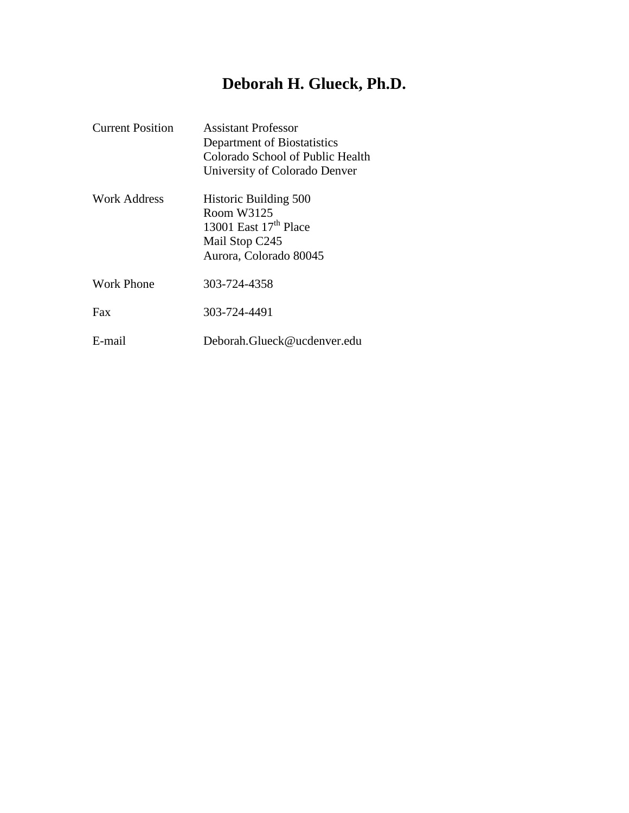# **Deborah H. Glueck, Ph.D.**

| <b>Current Position</b> | Assistant Professor<br>Department of Biostatistics<br>Colorado School of Public Health<br>University of Colorado Denver     |
|-------------------------|-----------------------------------------------------------------------------------------------------------------------------|
| Work Address            | <b>Historic Building 500</b><br>Room W3125<br>13001 East 17 <sup>th</sup> Place<br>Mail Stop C245<br>Aurora, Colorado 80045 |
| Work Phone              | 303-724-4358                                                                                                                |
| Fax                     | 303-724-4491                                                                                                                |
| E-mail                  | Deborah.Glueck@ucdenver.edu                                                                                                 |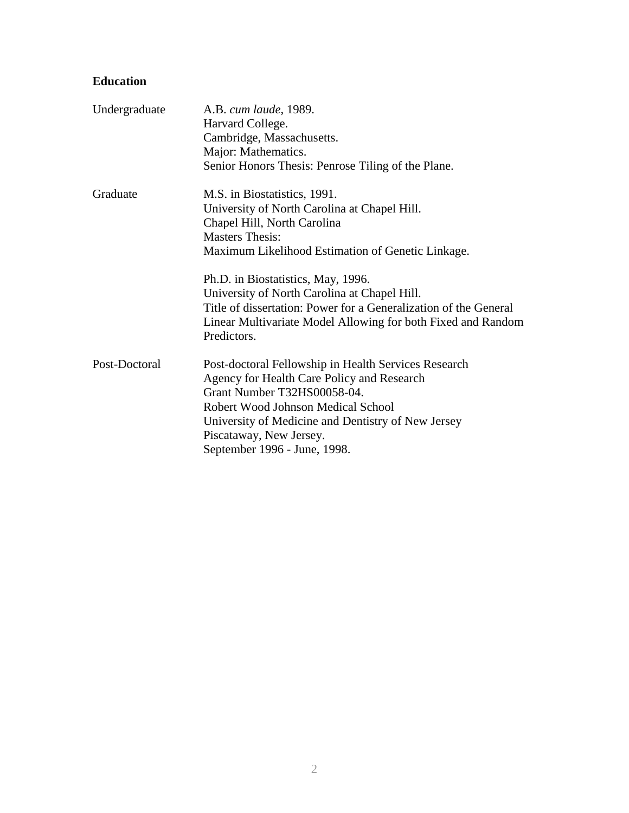# **Education**

| Undergraduate | A.B. cum laude, 1989.<br>Harvard College.                                   |
|---------------|-----------------------------------------------------------------------------|
|               | Cambridge, Massachusetts.                                                   |
|               | Major: Mathematics.                                                         |
|               | Senior Honors Thesis: Penrose Tiling of the Plane.                          |
| Graduate      | M.S. in Biostatistics, 1991.                                                |
|               | University of North Carolina at Chapel Hill.                                |
|               | Chapel Hill, North Carolina                                                 |
|               | <b>Masters Thesis:</b>                                                      |
|               | Maximum Likelihood Estimation of Genetic Linkage.                           |
|               | Ph.D. in Biostatistics, May, 1996.                                          |
|               | University of North Carolina at Chapel Hill.                                |
|               | Title of dissertation: Power for a Generalization of the General            |
|               | Linear Multivariate Model Allowing for both Fixed and Random<br>Predictors. |
| Post-Doctoral | Post-doctoral Fellowship in Health Services Research                        |
|               | Agency for Health Care Policy and Research                                  |
|               | Grant Number T32HS00058-04.                                                 |
|               | Robert Wood Johnson Medical School                                          |
|               | University of Medicine and Dentistry of New Jersey                          |
|               | Piscataway, New Jersey.                                                     |
|               | September 1996 - June, 1998.                                                |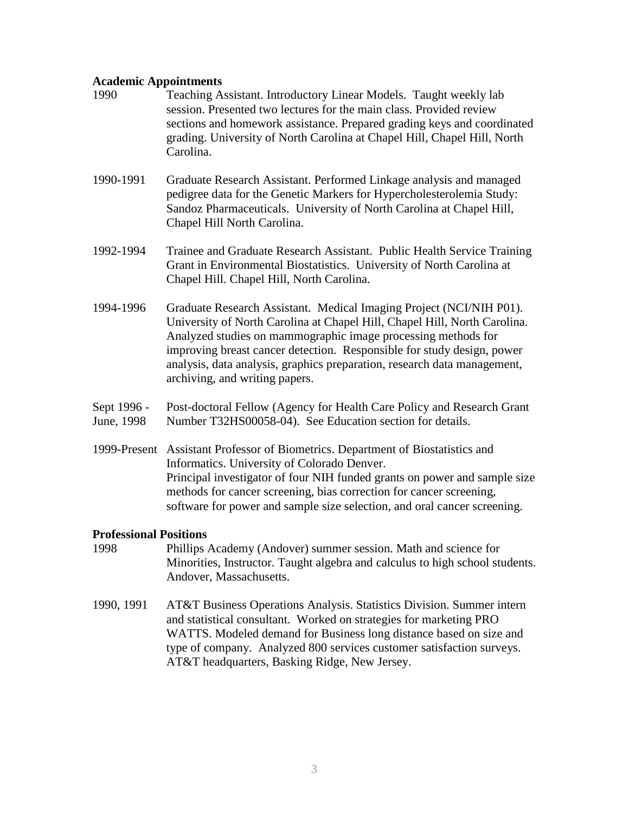#### **Academic Appointments**

- 1990 Teaching Assistant. Introductory Linear Models. Taught weekly lab session. Presented two lectures for the main class. Provided review sections and homework assistance. Prepared grading keys and coordinated grading. University of North Carolina at Chapel Hill, Chapel Hill, North Carolina.
- 1990-1991 Graduate Research Assistant. Performed Linkage analysis and managed pedigree data for the Genetic Markers for Hypercholesterolemia Study: Sandoz Pharmaceuticals. University of North Carolina at Chapel Hill, Chapel Hill North Carolina.
- 1992-1994 Trainee and Graduate Research Assistant. Public Health Service Training Grant in Environmental Biostatistics. University of North Carolina at Chapel Hill. Chapel Hill, North Carolina.
- 1994-1996 Graduate Research Assistant. Medical Imaging Project (NCI/NIH P01). University of North Carolina at Chapel Hill, Chapel Hill, North Carolina. Analyzed studies on mammographic image processing methods for improving breast cancer detection. Responsible for study design, power analysis, data analysis, graphics preparation, research data management, archiving, and writing papers.
- Sept 1996 Post-doctoral Fellow (Agency for Health Care Policy and Research Grant June, 1998 Number T32HS00058-04). See Education section for details.
- 1999-Present Assistant Professor of Biometrics. Department of Biostatistics and Informatics. University of Colorado Denver. Principal investigator of four NIH funded grants on power and sample size methods for cancer screening, bias correction for cancer screening, software for power and sample size selection, and oral cancer screening.

#### **Professional Positions**

- 1998 Phillips Academy (Andover) summer session. Math and science for Minorities, Instructor. Taught algebra and calculus to high school students. Andover, Massachusetts.
- 1990, 1991 AT&T Business Operations Analysis. Statistics Division. Summer intern and statistical consultant. Worked on strategies for marketing PRO WATTS. Modeled demand for Business long distance based on size and type of company. Analyzed 800 services customer satisfaction surveys. AT&T headquarters, Basking Ridge, New Jersey.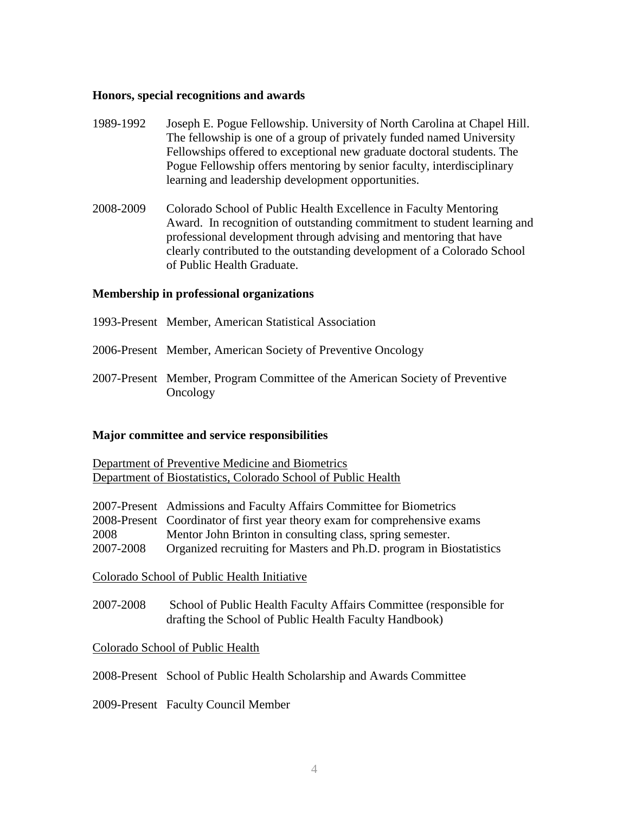#### **Honors, special recognitions and awards**

- 1989-1992 Joseph E. Pogue Fellowship. University of North Carolina at Chapel Hill. The fellowship is one of a group of privately funded named University Fellowships offered to exceptional new graduate doctoral students. The Pogue Fellowship offers mentoring by senior faculty, interdisciplinary learning and leadership development opportunities.
- 2008-2009 Colorado School of Public Health Excellence in Faculty Mentoring Award. In recognition of outstanding commitment to student learning and professional development through advising and mentoring that have clearly contributed to the outstanding development of a Colorado School of Public Health Graduate.

#### **Membership in professional organizations**

- 1993-Present Member, American Statistical Association
- 2006-Present Member, American Society of Preventive Oncology
- 2007-Present Member, Program Committee of the American Society of Preventive Oncology

#### **Major committee and service responsibilities**

Department of Preventive Medicine and Biometrics Department of Biostatistics, Colorado School of Public Health

- 2007-Present Admissions and Faculty Affairs Committee for Biometrics
- 2008-Present Coordinator of first year theory exam for comprehensive exams
- 2008 Mentor John Brinton in consulting class, spring semester.
- 2007-2008 Organized recruiting for Masters and Ph.D. program in Biostatistics

Colorado School of Public Health Initiative

2007-2008 School of Public Health Faculty Affairs Committee (responsible for drafting the School of Public Health Faculty Handbook)

#### Colorado School of Public Health

2008-Present School of Public Health Scholarship and Awards Committee

2009-Present Faculty Council Member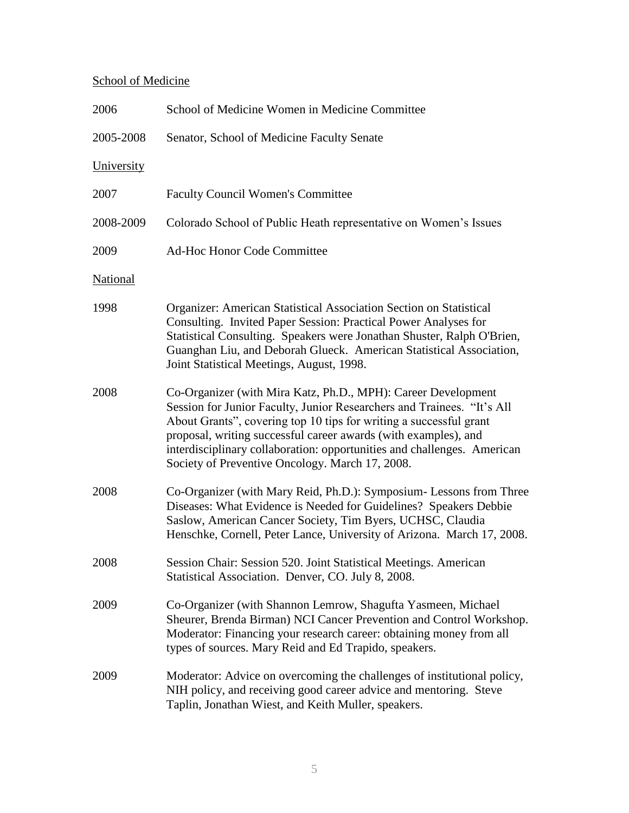# School of Medicine

| 2006            | School of Medicine Women in Medicine Committee                                                                                                                                                                                                                                                                                                                                                                 |
|-----------------|----------------------------------------------------------------------------------------------------------------------------------------------------------------------------------------------------------------------------------------------------------------------------------------------------------------------------------------------------------------------------------------------------------------|
| 2005-2008       | Senator, School of Medicine Faculty Senate                                                                                                                                                                                                                                                                                                                                                                     |
| University      |                                                                                                                                                                                                                                                                                                                                                                                                                |
| 2007            | <b>Faculty Council Women's Committee</b>                                                                                                                                                                                                                                                                                                                                                                       |
| 2008-2009       | Colorado School of Public Heath representative on Women's Issues                                                                                                                                                                                                                                                                                                                                               |
| 2009            | <b>Ad-Hoc Honor Code Committee</b>                                                                                                                                                                                                                                                                                                                                                                             |
| <b>National</b> |                                                                                                                                                                                                                                                                                                                                                                                                                |
| 1998            | Organizer: American Statistical Association Section on Statistical<br>Consulting. Invited Paper Session: Practical Power Analyses for<br>Statistical Consulting. Speakers were Jonathan Shuster, Ralph O'Brien,<br>Guanghan Liu, and Deborah Glueck. American Statistical Association,<br>Joint Statistical Meetings, August, 1998.                                                                            |
| 2008            | Co-Organizer (with Mira Katz, Ph.D., MPH): Career Development<br>Session for Junior Faculty, Junior Researchers and Trainees. "It's All<br>About Grants", covering top 10 tips for writing a successful grant<br>proposal, writing successful career awards (with examples), and<br>interdisciplinary collaboration: opportunities and challenges. American<br>Society of Preventive Oncology. March 17, 2008. |
| 2008            | Co-Organizer (with Mary Reid, Ph.D.): Symposium- Lessons from Three<br>Diseases: What Evidence is Needed for Guidelines? Speakers Debbie<br>Saslow, American Cancer Society, Tim Byers, UCHSC, Claudia<br>Henschke, Cornell, Peter Lance, University of Arizona. March 17, 2008.                                                                                                                               |
| 2008            | Session Chair: Session 520. Joint Statistical Meetings. American<br>Statistical Association. Denver, CO. July 8, 2008.                                                                                                                                                                                                                                                                                         |
| 2009            | Co-Organizer (with Shannon Lemrow, Shagufta Yasmeen, Michael<br>Sheurer, Brenda Birman) NCI Cancer Prevention and Control Workshop.<br>Moderator: Financing your research career: obtaining money from all<br>types of sources. Mary Reid and Ed Trapido, speakers.                                                                                                                                            |
| 2009            | Moderator: Advice on overcoming the challenges of institutional policy,<br>NIH policy, and receiving good career advice and mentoring. Steve<br>Taplin, Jonathan Wiest, and Keith Muller, speakers.                                                                                                                                                                                                            |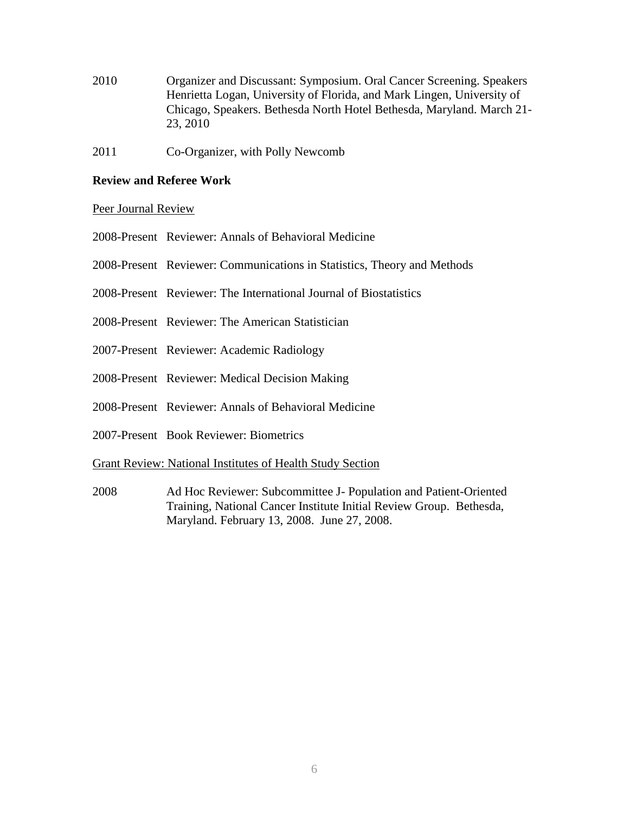- 2010 Organizer and Discussant: Symposium. Oral Cancer Screening. Speakers Henrietta Logan, University of Florida, and Mark Lingen, University of Chicago, Speakers. Bethesda North Hotel Bethesda, Maryland. March 21- 23, 2010
- 2011 Co-Organizer, with Polly Newcomb

#### **Review and Referee Work**

#### Peer Journal Review

- 2008-Present Reviewer: Annals of Behavioral Medicine
- 2008-Present Reviewer: Communications in Statistics, Theory and Methods
- 2008-Present Reviewer: The International Journal of Biostatistics
- 2008-Present Reviewer: The American Statistician
- 2007-Present Reviewer: Academic Radiology
- 2008-Present Reviewer: Medical Decision Making
- 2008-Present Reviewer: Annals of Behavioral Medicine
- 2007-Present Book Reviewer: Biometrics

#### Grant Review: National Institutes of Health Study Section

2008 Ad Hoc Reviewer: Subcommittee J- Population and Patient-Oriented Training, National Cancer Institute Initial Review Group. Bethesda, Maryland. February 13, 2008. June 27, 2008.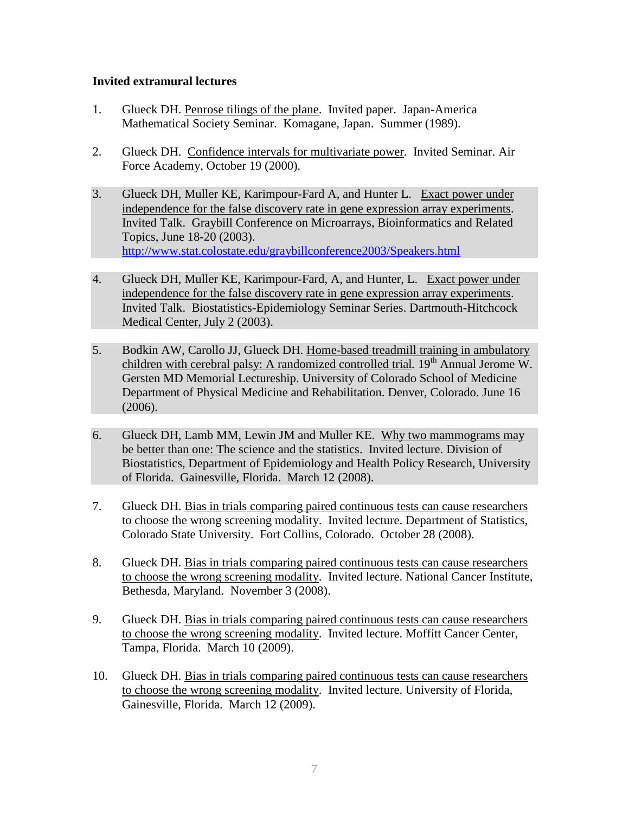#### **Invited extramural lectures**

- 1. Glueck DH. Penrose tilings of the plane. Invited paper. Japan-America Mathematical Society Seminar. Komagane, Japan. Summer (1989).
- 2. Glueck DH. Confidence intervals for multivariate power. Invited Seminar. Air Force Academy, October 19 (2000).
- 3. Glueck DH, Muller KE, Karimpour-Fard A, and Hunter L. Exact power under independence for the false discovery rate in gene expression array experiments. Invited Talk. Graybill Conference on Microarrays, Bioinformatics and Related Topics, June 18-20 (2003). <http://www.stat.colostate.edu/graybillconference2003/Speakers.html>
- 4. Glueck DH, Muller KE, Karimpour-Fard, A, and Hunter, L. Exact power under independence for the false discovery rate in gene expression array experiments. Invited Talk. Biostatistics-Epidemiology Seminar Series. Dartmouth-Hitchcock Medical Center, July 2 (2003).
- 5. Bodkin AW, Carollo JJ, Glueck DH. Home-based treadmill training in ambulatory children with cerebral palsy: A randomized controlled trial. 19<sup>th</sup> Annual Jerome W. Gersten MD Memorial Lectureship. University of Colorado School of Medicine Department of Physical Medicine and Rehabilitation. Denver, Colorado. June 16 (2006).
- 6. Glueck DH, Lamb MM, Lewin JM and Muller KE. Why two mammograms may be better than one: The science and the statistics. Invited lecture. Division of Biostatistics, Department of Epidemiology and Health Policy Research, University of Florida. Gainesville, Florida. March 12 (2008).
- 7. Glueck DH. Bias in trials comparing paired continuous tests can cause researchers to choose the wrong screening modality. Invited lecture. Department of Statistics, Colorado State University. Fort Collins, Colorado. October 28 (2008).
- 8. Glueck DH. Bias in trials comparing paired continuous tests can cause researchers to choose the wrong screening modality. Invited lecture. National Cancer Institute, Bethesda, Maryland. November 3 (2008).
- 9. Glueck DH. Bias in trials comparing paired continuous tests can cause researchers to choose the wrong screening modality. Invited lecture. Moffitt Cancer Center, Tampa, Florida. March 10 (2009).
- 10. Glueck DH. Bias in trials comparing paired continuous tests can cause researchers to choose the wrong screening modality. Invited lecture. University of Florida, Gainesville, Florida. March 12 (2009).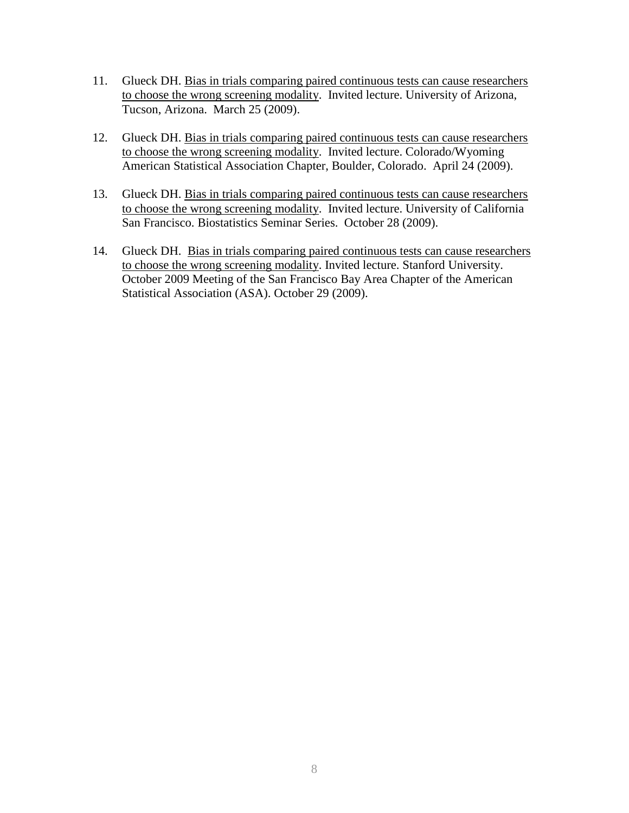- 11. Glueck DH. Bias in trials comparing paired continuous tests can cause researchers to choose the wrong screening modality. Invited lecture. University of Arizona, Tucson, Arizona. March 25 (2009).
- 12. Glueck DH. Bias in trials comparing paired continuous tests can cause researchers to choose the wrong screening modality. Invited lecture. Colorado/Wyoming American Statistical Association Chapter, Boulder, Colorado. April 24 (2009).
- 13. Glueck DH. Bias in trials comparing paired continuous tests can cause researchers to choose the wrong screening modality. Invited lecture. University of California San Francisco. Biostatistics Seminar Series. October 28 (2009).
- 14. Glueck DH. Bias in trials comparing paired continuous tests can cause researchers to choose the wrong screening modality. Invited lecture. Stanford University. October 2009 Meeting of the San Francisco Bay Area Chapter of the American Statistical Association (ASA). October 29 (2009).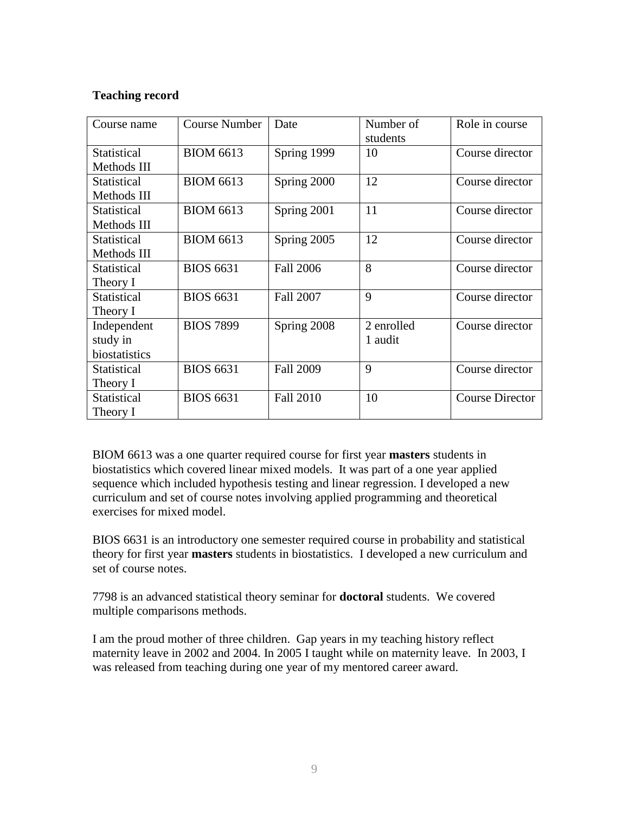## **Teaching record**

| Course name        | <b>Course Number</b> | Date             | Number of<br>students | Role in course         |
|--------------------|----------------------|------------------|-----------------------|------------------------|
| <b>Statistical</b> | <b>BIOM 6613</b>     | Spring 1999      | 10                    | Course director        |
| Methods III        |                      |                  |                       |                        |
| Statistical        | <b>BIOM 6613</b>     | Spring 2000      | 12                    | Course director        |
| Methods III        |                      |                  |                       |                        |
| Statistical        | <b>BIOM 6613</b>     | Spring 2001      | 11                    | Course director        |
| Methods III        |                      |                  |                       |                        |
| Statistical        | <b>BIOM 6613</b>     | Spring 2005      | 12                    | Course director        |
| Methods III        |                      |                  |                       |                        |
| Statistical        | <b>BIOS 6631</b>     | Fall 2006        | 8                     | Course director        |
| Theory I           |                      |                  |                       |                        |
| Statistical        | <b>BIOS 6631</b>     | <b>Fall 2007</b> | 9                     | Course director        |
| Theory I           |                      |                  |                       |                        |
| Independent        | <b>BIOS 7899</b>     | Spring 2008      | 2 enrolled            | Course director        |
| study in           |                      |                  | 1 audit               |                        |
| biostatistics      |                      |                  |                       |                        |
| Statistical        | <b>BIOS 6631</b>     | <b>Fall 2009</b> | 9                     | Course director        |
| Theory I           |                      |                  |                       |                        |
| Statistical        | <b>BIOS 6631</b>     | <b>Fall 2010</b> | 10                    | <b>Course Director</b> |
| Theory I           |                      |                  |                       |                        |

BIOM 6613 was a one quarter required course for first year **masters** students in biostatistics which covered linear mixed models. It was part of a one year applied sequence which included hypothesis testing and linear regression. I developed a new curriculum and set of course notes involving applied programming and theoretical exercises for mixed model.

BIOS 6631 is an introductory one semester required course in probability and statistical theory for first year **masters** students in biostatistics. I developed a new curriculum and set of course notes.

7798 is an advanced statistical theory seminar for **doctoral** students. We covered multiple comparisons methods.

I am the proud mother of three children. Gap years in my teaching history reflect maternity leave in 2002 and 2004. In 2005 I taught while on maternity leave. In 2003, I was released from teaching during one year of my mentored career award.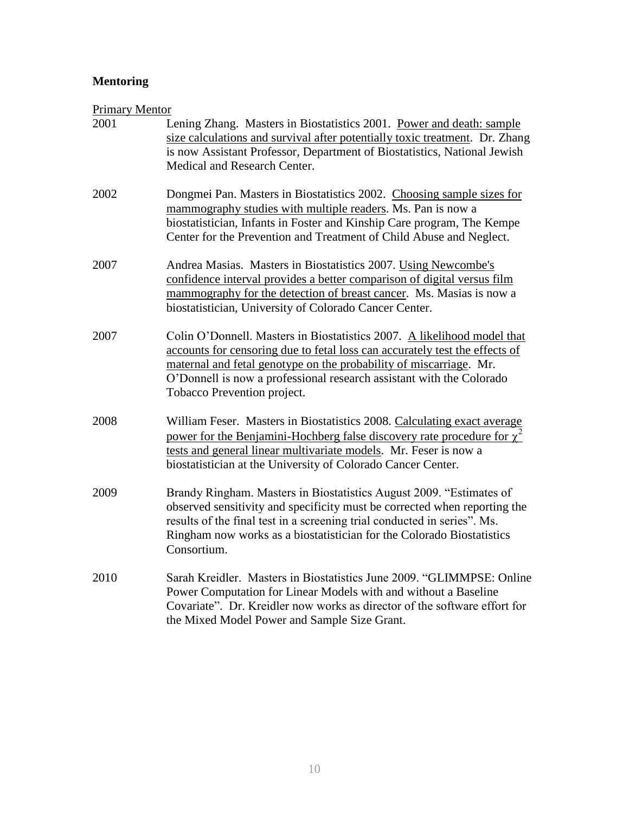# **Mentoring**

# Primary Mentor

| 2001 | Lening Zhang. Masters in Biostatistics 2001. Power and death: sample<br>size calculations and survival after potentially toxic treatment. Dr. Zhang<br>is now Assistant Professor, Department of Biostatistics, National Jewish<br>Medical and Research Center.                                                                     |
|------|-------------------------------------------------------------------------------------------------------------------------------------------------------------------------------------------------------------------------------------------------------------------------------------------------------------------------------------|
| 2002 | Dongmei Pan. Masters in Biostatistics 2002. Choosing sample sizes for<br>mammography studies with multiple readers. Ms. Pan is now a<br>biostatistician, Infants in Foster and Kinship Care program, The Kempe<br>Center for the Prevention and Treatment of Child Abuse and Neglect.                                               |
| 2007 | Andrea Masias. Masters in Biostatistics 2007. Using Newcombe's<br>confidence interval provides a better comparison of digital versus film<br>mammography for the detection of breast cancer. Ms. Masias is now a<br>biostatistician, University of Colorado Cancer Center.                                                          |
| 2007 | Colin O'Donnell. Masters in Biostatistics 2007. A likelihood model that<br>accounts for censoring due to fetal loss can accurately test the effects of<br>maternal and fetal genotype on the probability of miscarriage. Mr.<br>O'Donnell is now a professional research assistant with the Colorado<br>Tobacco Prevention project. |
| 2008 | William Feser. Masters in Biostatistics 2008. Calculating exact average<br>power for the Benjamini-Hochberg false discovery rate procedure for $\chi^2$<br>tests and general linear multivariate models. Mr. Feser is now a<br>biostatistician at the University of Colorado Cancer Center.                                         |
| 2009 | Brandy Ringham. Masters in Biostatistics August 2009. "Estimates of<br>observed sensitivity and specificity must be corrected when reporting the<br>results of the final test in a screening trial conducted in series". Ms.<br>Ringham now works as a biostatistician for the Colorado Biostatistics<br>Consortium.                |
| 2010 | Sarah Kreidler. Masters in Biostatistics June 2009. "GLIMMPSE: Online<br>Power Computation for Linear Models with and without a Baseline<br>Covariate". Dr. Kreidler now works as director of the software effort for<br>the Mixed Model Power and Sample Size Grant.                                                               |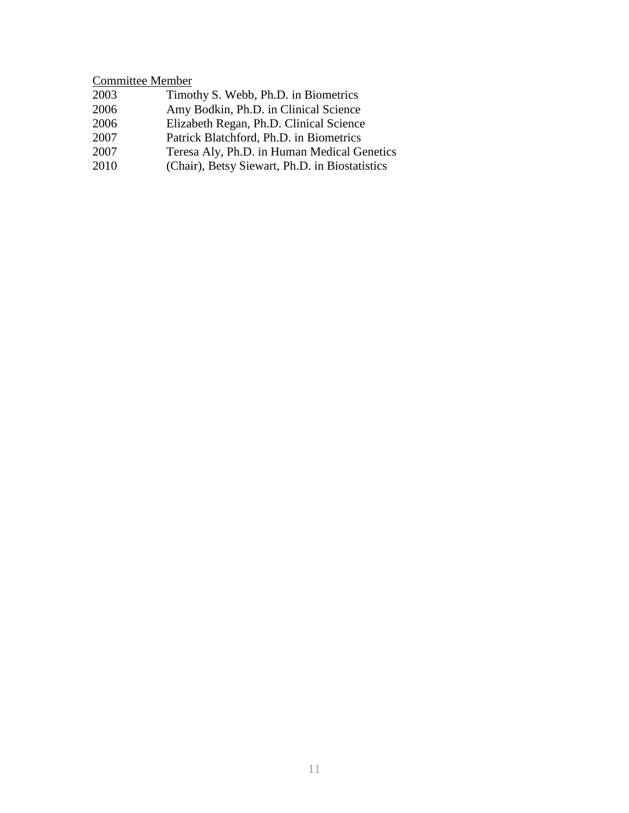# Committee Member

| 2003 | Timothy S. Webb, Ph.D. in Biometrics           |
|------|------------------------------------------------|
| 2006 | Amy Bodkin, Ph.D. in Clinical Science          |
| 2006 | Elizabeth Regan, Ph.D. Clinical Science        |
| 2007 | Patrick Blatchford, Ph.D. in Biometrics        |
| 2007 | Teresa Aly, Ph.D. in Human Medical Genetics    |
| 2010 | (Chair), Betsy Siewart, Ph.D. in Biostatistics |
|      |                                                |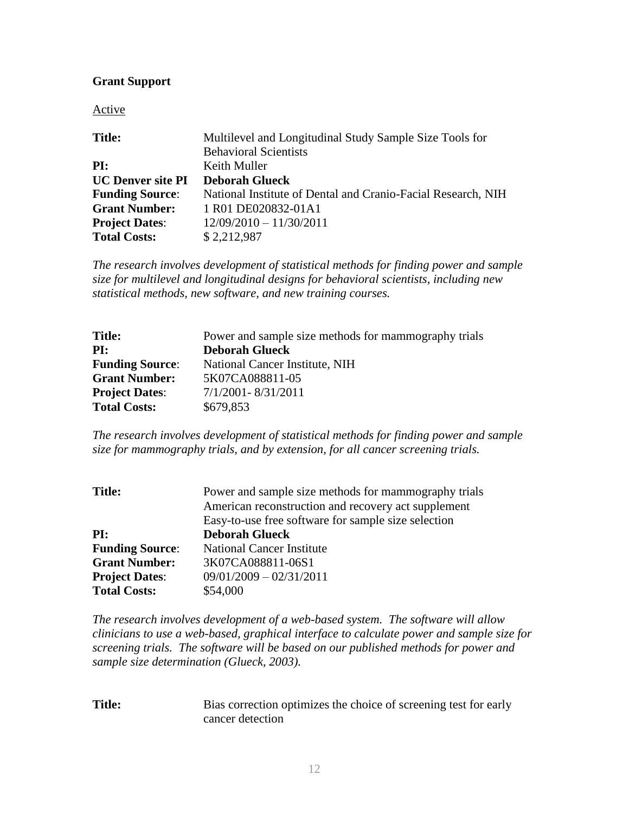## **Grant Support**

Active

| <b>Title:</b>            | Multilevel and Longitudinal Study Sample Size Tools for      |
|--------------------------|--------------------------------------------------------------|
|                          | <b>Behavioral Scientists</b>                                 |
| PI:                      | Keith Muller                                                 |
| <b>UC Denver site PI</b> | <b>Deborah Glueck</b>                                        |
| <b>Funding Source:</b>   | National Institute of Dental and Cranio-Facial Research, NIH |
| <b>Grant Number:</b>     | 1 R01 DE020832-01A1                                          |
| <b>Project Dates:</b>    | $12/09/2010 - 11/30/2011$                                    |
| <b>Total Costs:</b>      | \$2,212,987                                                  |

*The research involves development of statistical methods for finding power and sample size for multilevel and longitudinal designs for behavioral scientists, including new statistical methods, new software, and new training courses.*

| <b>Title:</b>          | Power and sample size methods for mammography trials |
|------------------------|------------------------------------------------------|
| PI:                    | <b>Deborah Glueck</b>                                |
| <b>Funding Source:</b> | National Cancer Institute, NIH                       |
| <b>Grant Number:</b>   | 5K07CA088811-05                                      |
| <b>Project Dates:</b>  | 7/1/2001-8/31/2011                                   |
| <b>Total Costs:</b>    | \$679,853                                            |

*The research involves development of statistical methods for finding power and sample size for mammography trials, and by extension, for all cancer screening trials.*

| <b>Title:</b>          | Power and sample size methods for mammography trials |
|------------------------|------------------------------------------------------|
|                        | American reconstruction and recovery act supplement  |
|                        | Easy-to-use free software for sample size selection  |
| PI:                    | <b>Deborah Glueck</b>                                |
| <b>Funding Source:</b> | <b>National Cancer Institute</b>                     |
| <b>Grant Number:</b>   | 3K07CA088811-06S1                                    |
| <b>Project Dates:</b>  | $09/01/2009 - 02/31/2011$                            |
| <b>Total Costs:</b>    | \$54,000                                             |

*The research involves development of a web-based system. The software will allow clinicians to use a web-based, graphical interface to calculate power and sample size for screening trials. The software will be based on our published methods for power and sample size determination (Glueck, 2003).*

| <b>Title:</b> | Bias correction optimizes the choice of screening test for early |
|---------------|------------------------------------------------------------------|
|               | cancer detection                                                 |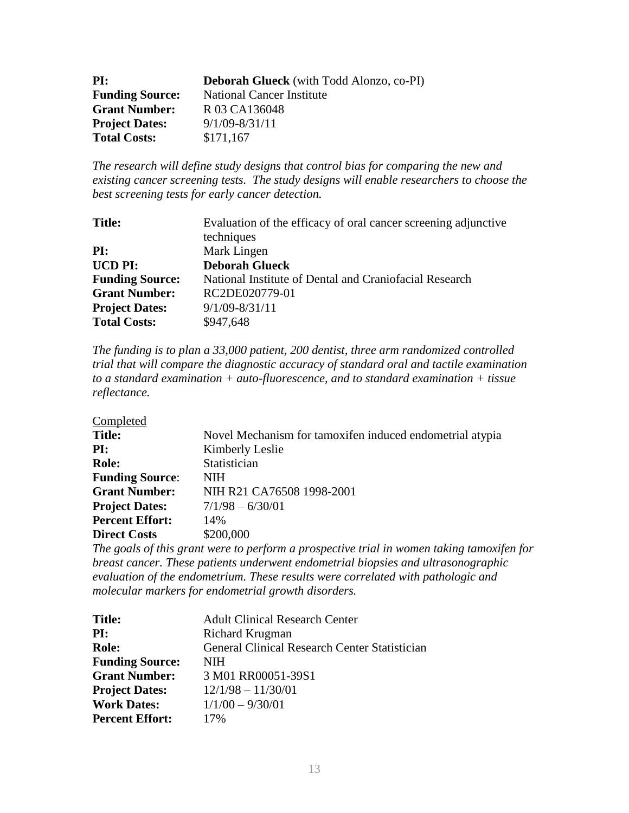| PI:                    | <b>Deborah Glueck</b> (with Todd Alonzo, co-PI) |
|------------------------|-------------------------------------------------|
| <b>Funding Source:</b> | <b>National Cancer Institute</b>                |
| <b>Grant Number:</b>   | R 03 CA136048                                   |
| <b>Project Dates:</b>  | $9/1/09 - 8/31/11$                              |
| <b>Total Costs:</b>    | \$171,167                                       |

*The research will define study designs that control bias for comparing the new and existing cancer screening tests. The study designs will enable researchers to choose the best screening tests for early cancer detection.* 

| <b>Title:</b>          | Evaluation of the efficacy of oral cancer screening adjunctive |
|------------------------|----------------------------------------------------------------|
|                        | techniques                                                     |
| PI:                    | Mark Lingen                                                    |
| <b>UCD PI:</b>         | <b>Deborah Glueck</b>                                          |
| <b>Funding Source:</b> | National Institute of Dental and Craniofacial Research         |
| <b>Grant Number:</b>   | RC2DE020779-01                                                 |
| <b>Project Dates:</b>  | $9/1/09 - 8/31/11$                                             |
| <b>Total Costs:</b>    | \$947,648                                                      |

*The funding is to plan a 33,000 patient, 200 dentist, three arm randomized controlled trial that will compare the diagnostic accuracy of standard oral and tactile examination to a standard examination + auto-fluorescence, and to standard examination + tissue reflectance.* 

| Completed              |                                                          |
|------------------------|----------------------------------------------------------|
| <b>Title:</b>          | Novel Mechanism for tamoxifen induced endometrial atypia |
| PI:                    | Kimberly Leslie                                          |
| <b>Role:</b>           | Statistician                                             |
| <b>Funding Source:</b> | <b>NIH</b>                                               |
| <b>Grant Number:</b>   | NIH R21 CA76508 1998-2001                                |
| <b>Project Dates:</b>  | $7/1/98 - 6/30/01$                                       |
| <b>Percent Effort:</b> | 14%                                                      |
| <b>Direct Costs</b>    | \$200,000                                                |

*The goals of this grant were to perform a prospective trial in women taking tamoxifen for breast cancer. These patients underwent endometrial biopsies and ultrasonographic evaluation of the endometrium. These results were correlated with pathologic and molecular markers for endometrial growth disorders.*

| <b>Title:</b>          | <b>Adult Clinical Research Center</b>         |
|------------------------|-----------------------------------------------|
| PI:                    | Richard Krugman                               |
| <b>Role:</b>           | General Clinical Research Center Statistician |
| <b>Funding Source:</b> | <b>NIH</b>                                    |
| <b>Grant Number:</b>   | 3 M01 RR00051-39S1                            |
| <b>Project Dates:</b>  | $12/1/98 - 11/30/01$                          |
| <b>Work Dates:</b>     | $1/1/00 - 9/30/01$                            |
| <b>Percent Effort:</b> | 17%                                           |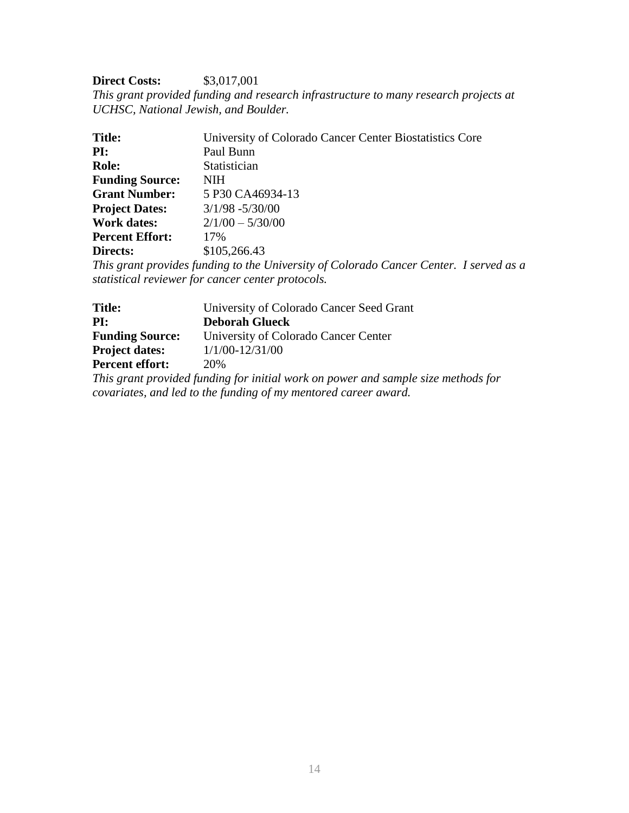## **Direct Costs:** \$3,017,001

*This grant provided funding and research infrastructure to many research projects at UCHSC, National Jewish, and Boulder.*

| <b>Title:</b>          | University of Colorado Cancer Center Biostatistics Core                                                                                                                                                                                                                                                                                                             |
|------------------------|---------------------------------------------------------------------------------------------------------------------------------------------------------------------------------------------------------------------------------------------------------------------------------------------------------------------------------------------------------------------|
| PI:                    | Paul Bunn                                                                                                                                                                                                                                                                                                                                                           |
| <b>Role:</b>           | Statistician                                                                                                                                                                                                                                                                                                                                                        |
| <b>Funding Source:</b> | <b>NIH</b>                                                                                                                                                                                                                                                                                                                                                          |
| <b>Grant Number:</b>   | 5 P30 CA46934-13                                                                                                                                                                                                                                                                                                                                                    |
| <b>Project Dates:</b>  | $3/1/98 - 5/30/00$                                                                                                                                                                                                                                                                                                                                                  |
| <b>Work dates:</b>     | $2/1/00 - 5/30/00$                                                                                                                                                                                                                                                                                                                                                  |
| <b>Percent Effort:</b> | 17%                                                                                                                                                                                                                                                                                                                                                                 |
| Directs:               | \$105,266.43                                                                                                                                                                                                                                                                                                                                                        |
|                        | $\sim$ $\sim$ $\sim$ $\sim$ $\sim$<br>$\cdot$ , $\cdot$ , $\cdot$ , $\cdot$ , $\cdot$ , $\cdot$ , $\cdot$ , $\cdot$ , $\cdot$ , $\cdot$ , $\cdot$ , $\cdot$ , $\cdot$ , $\cdot$ , $\cdot$ , $\cdot$ , $\cdot$ , $\cdot$ , $\cdot$ , $\cdot$ , $\cdot$ , $\cdot$ , $\cdot$ , $\cdot$ , $\cdot$ , $\cdot$ , $\cdot$ , $\cdot$ , $\cdot$ , $\cdot$ , $\cdot$ , $\cdot$ |

*This grant provides funding to the University of Colorado Cancer Center. I served as a statistical reviewer for cancer center protocols.*

| <b>Title:</b>          | University of Colorado Cancer Seed Grant |
|------------------------|------------------------------------------|
| PI:                    | <b>Deborah Glueck</b>                    |
| <b>Funding Source:</b> | University of Colorado Cancer Center     |
| <b>Project dates:</b>  | $1/1/00 - 12/31/00$                      |
| <b>Percent effort:</b> | 20\%                                     |
|                        |                                          |

*This grant provided funding for initial work on power and sample size methods for covariates, and led to the funding of my mentored career award.*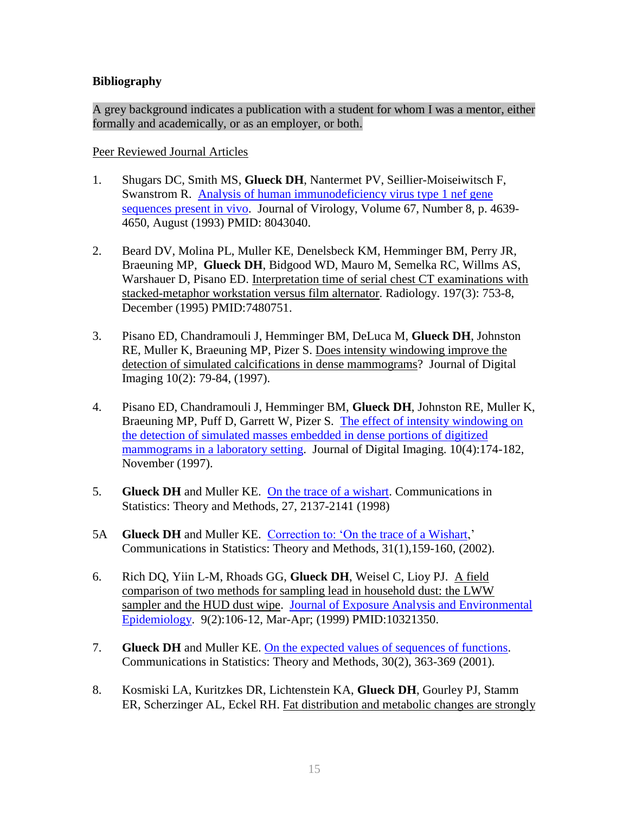# **Bibliography**

A grey background indicates a publication with a student for whom I was a mentor, either formally and academically, or as an employer, or both.

Peer Reviewed Journal Articles

- 1. Shugars DC, Smith MS, **Glueck DH**, Nantermet PV, Seillier-Moiseiwitsch F, Swanstrom R. Analysis of human [immunodeficiency virus type 1 nef gene](file:///G:/Documents%20and%20Settings/Documents%20and%20Settings/Documents%20and%20Settings/glueckd/Application%20Data/website/papers/others%20first/sugars.pdf)  [sequences present in vivo.](file:///G:/Documents%20and%20Settings/Documents%20and%20Settings/Documents%20and%20Settings/glueckd/Application%20Data/website/papers/others%20first/sugars.pdf) Journal of Virology, Volume 67, Number 8, p. 4639- 4650, August (1993) PMID: 8043040.
- 2. Beard DV, Molina PL, Muller KE, Denelsbeck KM, Hemminger BM, Perry JR, Braeuning MP, **Glueck DH**, Bidgood WD, Mauro M, Semelka RC, Willms AS, Warshauer D, Pisano ED. Interpretation time of serial chest CT examinations with stacked-metaphor workstation versus film alternator. Radiology. 197(3): 753-8, December (1995) PMID:7480751.
- 3. Pisano ED, Chandramouli J, Hemminger BM, DeLuca M, **Glueck DH**, Johnston RE, Muller K, Braeuning MP, Pizer S. Does intensity windowing improve the detection of simulated calcifications in dense mammograms? Journal of Digital Imaging 10(2): 79-84, (1997).
- 4. Pisano ED, Chandramouli J, Hemminger BM, **Glueck DH**, Johnston RE, Muller K, Braeuning MP, Puff D, Garrett W, Pizer S. The [effect of intensity windowing on](file:///G:/Documents%20and%20Settings/Documents%20and%20Settings/Documents%20and%20Settings/glueckd/Application%20Data/website/papers/others%20first/pisanojdi1997.rtf)  [the detection of simulated masses embedded in dense portions of digitized](file:///G:/Documents%20and%20Settings/Documents%20and%20Settings/Documents%20and%20Settings/glueckd/Application%20Data/website/papers/others%20first/pisanojdi1997.rtf)  [mammograms in a laboratory setting.](file:///G:/Documents%20and%20Settings/Documents%20and%20Settings/Documents%20and%20Settings/glueckd/Application%20Data/website/papers/others%20first/pisanojdi1997.rtf) Journal of Digital Imaging.  $10(4)$ : 174-182, November (1997).
- 5. **Glueck DH** and Muller KE. [On the trace of a wishart.](file:///G:/Documents%20and%20Settings/Documents%20and%20Settings/Documents%20and%20Settings/glueckd/Application%20Data/website/papers/glueck%20first/wishart.pdf) Communications in Statistics: Theory and Methods, 27, 2137-2141 (1998)
- 5A **Glueck DH** and Muller KE. Correction to: 'On the trace of a Wishart,' Communications in Statistics: Theory and Methods, 31(1),159-160, (2002).
- 6. Rich DQ, Yiin L-M, Rhoads GG, **Glueck DH**, Weisel C, Lioy PJ. A field comparison of two methods for sampling lead in household dust: the LWW sampler and the HUD dust wipe. [Journal of Exposure Analysis and Environmental](file:///G:/Documents%20and%20Settings/Documents%20and%20Settings/Documents%20and%20Settings/glueckd/Application%20Data/website/papers/others%20first/rich.pdf)  [Epidemiology.](file:///G:/Documents%20and%20Settings/Documents%20and%20Settings/Documents%20and%20Settings/glueckd/Application%20Data/website/papers/others%20first/rich.pdf) 9(2):106-12, Mar-Apr; (1999) PMID:10321350.
- 7. **Glueck DH** and Muller KE. [On the expected values of sequences of functions.](file:///G:/Documents%20and%20Settings/Documents%20and%20Settings/Documents%20and%20Settings/glueckd/Application%20Data/website/papers/glueck%20first/Sequence%20of%20functions.pdf) Communications in Statistics: Theory and Methods, 30(2), 363-369 (2001).
- 8. Kosmiski LA, Kuritzkes DR, Lichtenstein KA, **Glueck DH**, Gourley PJ, Stamm ER, Scherzinger AL, Eckel RH. Fat distribution and metabolic changes are strongly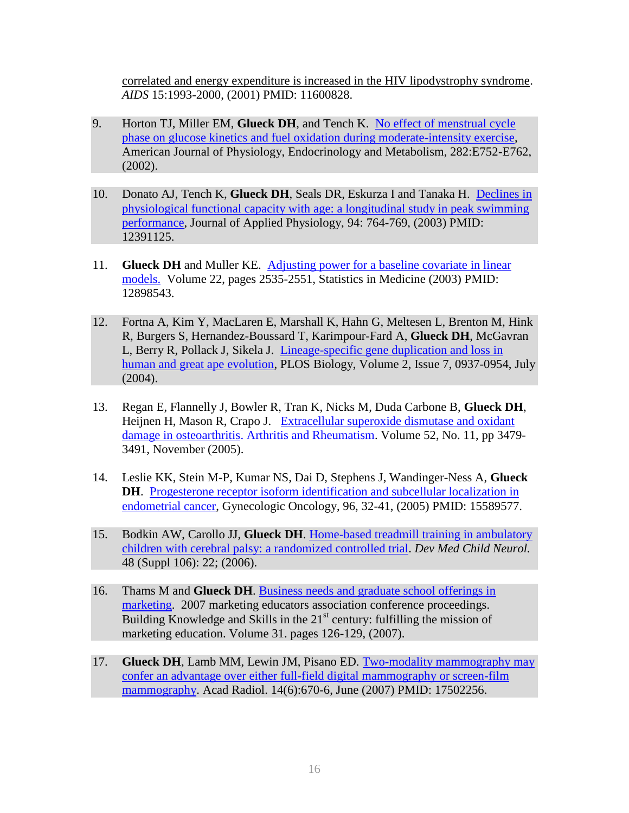correlated and energy expenditure is increased in the HIV lipodystrophy syndrome. *AIDS* 15:1993-2000, (2001) PMID: 11600828.

- 9. Horton TJ, Miller EM, **Glueck DH**, and Tench K. [No effect of menstrual cycle](file:///G:/Documents%20and%20Settings/Documents%20and%20Settings/Documents%20and%20Settings/glueckd/Application%20Data/website/papers/others%20first/Horton%20paper.pdf)  [phase on glucose kinetics and fuel oxidation during moderate-intensity exercise,](file:///G:/Documents%20and%20Settings/Documents%20and%20Settings/Documents%20and%20Settings/glueckd/Application%20Data/website/papers/others%20first/Horton%20paper.pdf) American Journal of Physiology, Endocrinology and Metabolism, 282:E752-E762, (2002).
- 10. Donato AJ, Tench K, **Glueck DH**, Seals DR, Eskurza I and Tanaka H. [Declines in](file:///G:/Documents%20and%20Settings/Documents%20and%20Settings/Documents%20and%20Settings/glueckd/Application%20Data/website/papers/others%20first/tanaka.pdf)  [physiological functional capacity with age: a longitudinal study in peak swimming](file:///G:/Documents%20and%20Settings/Documents%20and%20Settings/Documents%20and%20Settings/glueckd/Application%20Data/website/papers/others%20first/tanaka.pdf)  [performance,](file:///G:/Documents%20and%20Settings/Documents%20and%20Settings/Documents%20and%20Settings/glueckd/Application%20Data/website/papers/others%20first/tanaka.pdf) Journal of Applied Physiology, 94: 764-769, (2003) PMID: 12391125.
- 11. **Glueck DH** and Muller KE. [Adjusting power for a baseline covariate in linear](file:///G:/Documents%20and%20Settings/Documents%20and%20Settings/Documents%20and%20Settings/glueckd/Application%20Data/website/papers/glueck%20first/fulltext.pdf)  [models.](file:///G:/Documents%20and%20Settings/Documents%20and%20Settings/Documents%20and%20Settings/glueckd/Application%20Data/website/papers/glueck%20first/fulltext.pdf) Volume 22, pages 2535-2551, Statistics in Medicine (2003) PMID: 12898543.
- 12. Fortna A, Kim Y, MacLaren E, Marshall K, Hahn G, Meltesen L, Brenton M, Hink R, Burgers S, Hernandez-Boussard T, Karimpour-Fard A, **Glueck DH**, McGavran L, Berry R, Pollack J, Sikela J. [Lineage-specific gene duplication and loss in](file:///G:/Documents%20and%20Settings/Documents%20and%20Settings/Documents%20and%20Settings/glueckd/Application%20Data/website/papers/others%20first/great%20apes.pdf)  [human and great ape evolution,](file:///G:/Documents%20and%20Settings/Documents%20and%20Settings/Documents%20and%20Settings/glueckd/Application%20Data/website/papers/others%20first/great%20apes.pdf) PLOS Biology, Volume 2, Issue 7, 0937-0954, July (2004).
- 13. Regan E, Flannelly J, Bowler R, Tran K, Nicks M, Duda Carbone B, **Glueck DH**, Heijnen H, Mason R, Crapo J. [Extracellular superoxide dismutase and oxidant](file:///G:/Documents%20and%20Settings/Documents%20and%20Settings/Documents%20and%20Settings/glueckd/Application%20Data/website/papers/others%20first/regan.pdf)  damage in osteoarthritis. [Arthritis and Rheumatism.](file:///G:/Documents%20and%20Settings/Documents%20and%20Settings/Documents%20and%20Settings/glueckd/Application%20Data/website/papers/others%20first/regan.pdf) Volume 52, No. 11, pp 3479- 3491, November (2005).
- 14. Leslie KK, Stein M-P, Kumar NS, Dai D, Stephens J, Wandinger-Ness A, **Glueck DH**. [Progesterone receptor isoform identification and subcellular localization in](file:///G:/Documents%20and%20Settings/Documents%20and%20Settings/Documents%20and%20Settings/glueckd/Application%20Data/website/papers/others%20first/leslie.pdf)  [endometrial cancer,](file:///G:/Documents%20and%20Settings/Documents%20and%20Settings/Documents%20and%20Settings/glueckd/Application%20Data/website/papers/others%20first/leslie.pdf) Gynecologic Oncology, 96, 32-41, (2005) PMID: 15589577.
- 15. Bodkin AW, Carollo JJ, **Glueck DH**. [Home-based treadmill training in ambulatory](file:///G:/Documents%20and%20Settings/Documents%20and%20Settings/Documents%20and%20Settings/glueckd/Application%20Data/website/papers/others%20first/bodkin2006.pdf)  [children with cerebral palsy: a randomized controlled trial.](file:///G:/Documents%20and%20Settings/Documents%20and%20Settings/Documents%20and%20Settings/glueckd/Application%20Data/website/papers/others%20first/bodkin2006.pdf) *Dev Med Child Neurol.*  48 (Suppl 106): 22; (2006).
- 16. Thams M and **Glueck DH**. [Business needs and graduate school offerings in](file:///G:/Documents%20and%20Settings/Documents%20and%20Settings/beckerd/Local%20Settings/website/papers/others%20first/thams%202007.doc)  [marketing.](file:///G:/Documents%20and%20Settings/Documents%20and%20Settings/beckerd/Local%20Settings/website/papers/others%20first/thams%202007.doc) 2007 marketing educators association conference proceedings. Building Knowledge and Skills in the  $21<sup>st</sup>$  century: fulfilling the mission of marketing education. Volume 31. pages 126-129, (2007).
- 17. **Glueck DH**[, Lamb MM, Lewin JM, Pisano ED.](http://www.ncbi.nlm.nih.gov/sites/entrez?Db=pubmed&Cmd=ShowDetailView&TermToSearch=17502256&ordinalpos=1&itool=EntrezSystem2.PEntrez.Pubmed.Pubmed_ResultsPanel.Pubmed_RVDocSum) [Two-modality mammography may](file:///G:/website/papers/glueck%20first/glueck-2007-tmm.pdf)  [confer an advantage over either full-field digital mammography or screen-film](file:///G:/website/papers/glueck%20first/glueck-2007-tmm.pdf)  [mammography.](file:///G:/website/papers/glueck%20first/glueck-2007-tmm.pdf) Acad Radiol. 14(6):670-6, June (2007) PMID: 17502256.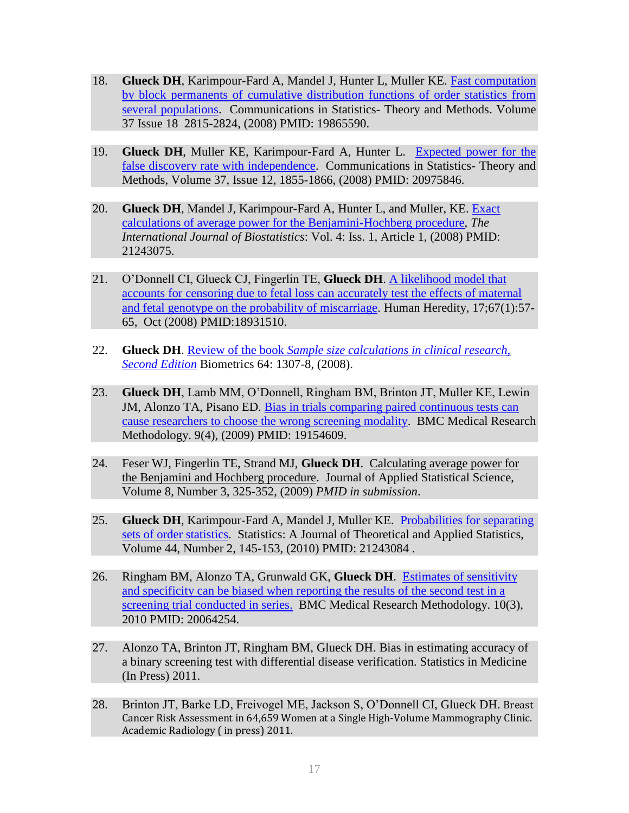- 18. **Glueck DH**, Karimpour-Fard A, Mandel J, Hunter L, Muller KE. [Fast computation](http://pdfserve.informaworld.com/468023_751311391_795439388.pdf)  [by block permanents of cumulative distribution functions of order statistics from](http://pdfserve.informaworld.com/468023_751311391_795439388.pdf)  [several](http://pdfserve.informaworld.com/468023_751311391_795439388.pdf) [populations.](http://pdfserve.informaworld.com/468023_751311391_795439388.pdf) Communications in Statistics- Theory and Methods. Volume 37 Issue 18 2815-2824, (2008) PMID: 19865590.
- 19. **Glueck DH**, Muller KE, Karimpour-Fard A, Hunter L. [Expected power for the](file:///G:/website/papers/glueck%20first/glueck-2008-epf.pdf)  [false discovery rate with independence.](file:///G:/website/papers/glueck%20first/glueck-2008-epf.pdf) Communications in Statistics- Theory and Methods, Volume 37, Issue 12, 1855-1866, (2008) PMID: 20975846.
- 20. **Glueck DH**, Mandel J, Karimpour-Fard A, Hunter L, and Muller, KE. Exact [calculations of average power for the Benjamini-Hochberg procedure,](http://www.bepress.com/ijb/vol4/iss1/11/) *The International Journal of Biostatistics*: Vol. 4: Iss. 1, Article 1, (2008) PMID: 21243075.
- 21. O"Donnell CI, Glueck CJ, Fingerlin TE, **Glueck DH**. [A likelihood model that](file:///G:/website/papers/others%20first/odonnell-2008-alm.pdf)  [accounts for censoring due to fetal loss can accurately test the effects of maternal](file:///G:/website/papers/others%20first/odonnell-2008-alm.pdf)  [and fetal genotype on the probability of miscarriage.](file:///G:/website/papers/others%20first/odonnell-2008-alm.pdf) Human Heredity, 17;67(1):57- 65, Oct (2008) PMID:18931510.
- 22. **Glueck DH**. Review of the book *[Sample size calculations in clinical research,](file://hsc-glueckdpc/c$/Glueck/personal/website/papers/glueck%20first/review.pdf)  [Second Edition](file://hsc-glueckdpc/c$/Glueck/personal/website/papers/glueck%20first/review.pdf)* Biometrics 64: 1307-8, (2008).
- 23. **Glueck DH**, Lamb MM, O"Donnell, Ringham BM, Brinton JT, Muller KE, Lewin JM, Alonzo TA, Pisano ED. [Bias in trials comparing paired continuous tests can](file://hsc-glueckdpc/c$/Glueck/personal/website/papers/glueck%20first/glueck-2009-bias.pdf)  [cause researchers to choose the wrong screening modality.](file://hsc-glueckdpc/c$/Glueck/personal/website/papers/glueck%20first/glueck-2009-bias.pdf) BMC Medical Research Methodology. 9(4), (2009) PMID: 19154609.
- 24. Feser WJ, Fingerlin TE, Strand MJ, **Glueck DH**. Calculating average power for the Benjamini and Hochberg procedure. Journal of Applied Statistical Science, Volume 8, Number 3, 325-352, (2009) *PMID in submission*.
- 25. **Glueck DH**, Karimpour-Fard A, Mandel J, Muller KE. [Probabilities for separating](file://hsc-glueckdpc/c$/Glueck/personal/website/papers/glueck%20first/glueck-2010-pss.pdf)  [sets of order statistics.](file://hsc-glueckdpc/c$/Glueck/personal/website/papers/glueck%20first/glueck-2010-pss.pdf) Statistics: A Journal of Theoretical and Applied Statistics, Volume 44, Number 2, 145-153, (2010) PMID: 21243084 .
- 26. Ringham BM, Alonzo TA, Grunwald GK, **Glueck DH**. [Estimates of sensitivity](file://hsc-glueckdpc/c$/Glueck/personal/website/papers/others%20first/ringham-2010-ess.pdf)  [and specificity can be biased when reporting the results of the second test in a](file://hsc-glueckdpc/c$/Glueck/personal/website/papers/others%20first/ringham-2010-ess.pdf)  [screening trial conducted in series.](file://hsc-glueckdpc/c$/Glueck/personal/website/papers/others%20first/ringham-2010-ess.pdf) BMC Medical Research Methodology. 10(3), 2010 PMID: 20064254.
- 27. Alonzo TA, Brinton JT, Ringham BM, Glueck DH. Bias in estimating accuracy of a binary screening test with differential disease verification. Statistics in Medicine (In Press) 2011.
- 28. Brinton JT, Barke LD, Freivogel ME, Jackson S, O"Donnell CI, Glueck DH. Breast Cancer Risk Assessment in 64,659 Women at a Single High-Volume Mammography Clinic. Academic Radiology ( in press) 2011.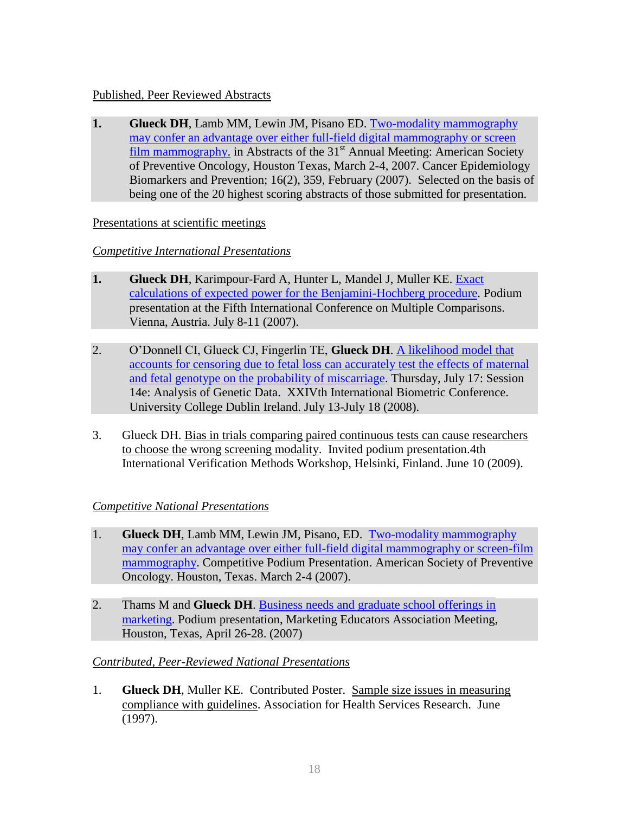# Published, Peer Reviewed Abstracts

**1. Glueck DH**, Lamb MM, Lewin JM, Pisano ED. [Two-modality mammography](file:///G:/Documents%20and%20Settings/Documents%20and%20Settings/Documents%20and%20Settings/glueckd/Application%20Data/website/papers/glueck%20first/cepb_glueck_2007.pdf)  [may confer an advantage over either full-field digital mammography or screen](file:///G:/Documents%20and%20Settings/Documents%20and%20Settings/Documents%20and%20Settings/glueckd/Application%20Data/website/papers/glueck%20first/cepb_glueck_2007.pdf)  [film mammography.](file:///G:/Documents%20and%20Settings/Documents%20and%20Settings/Documents%20and%20Settings/glueckd/Application%20Data/website/papers/glueck%20first/cepb_glueck_2007.pdf) in Abstracts of the  $31<sup>st</sup>$  Annual Meeting: American Society of Preventive Oncology, Houston Texas, March 2-4, 2007. Cancer Epidemiology Biomarkers and Prevention; 16(2), 359, February (2007). Selected on the basis of being one of the 20 highest scoring abstracts of those submitted for presentation.

## Presentations at scientific meetings

# *Competitive International Presentations*

- **1. Glueck DH**, Karimpour-Fard A, Hunter L, Mandel J, Muller KE. [Exact](file:///G:/Documents%20and%20Settings/Documents%20and%20Settings/Documents%20and%20Settings/glueckd/Application%20Data/website/papers/glueck%20first/~$ueck%20mcp%20abstract_2_27_07.doc)  [calculations of expected power for the Benjamini-Hochberg procedure.](file:///G:/Documents%20and%20Settings/Documents%20and%20Settings/Documents%20and%20Settings/glueckd/Application%20Data/website/papers/glueck%20first/~$ueck%20mcp%20abstract_2_27_07.doc) Podium presentation at the Fifth International Conference on Multiple Comparisons. Vienna, Austria. July 8-11 (2007).
- 2. O"Donnell CI, Glueck CJ, Fingerlin TE, **Glueck DH**. [A likelihood model that](file:///G:/website/papers/others%20first/odonnell-2008-alm.pdf)  [accounts for censoring due to fetal loss can accurately test the effects of maternal](file:///G:/website/papers/others%20first/odonnell-2008-alm.pdf)  [and fetal genotype on the probability of miscarriage.](file:///G:/website/papers/others%20first/odonnell-2008-alm.pdf) Thursday, July 17: Session 14e: Analysis of Genetic Data. XXIVth International Biometric Conference. University College Dublin Ireland. July 13-July 18 (2008).
- 3. Glueck DH. Bias in trials comparing paired continuous tests can cause researchers to choose the wrong screening modality. Invited podium presentation.4th International Verification Methods Workshop, Helsinki, Finland. June 10 (2009).

# *Competitive National Presentations*

- 1. **Glueck DH**, Lamb MM, Lewin JM, Pisano, ED. [Two-modality mammography](file:///G:/Documents%20and%20Settings/Documents%20and%20Settings/Documents%20and%20Settings/glueckd/Application%20Data/website/papers/glueck%20first/glueck%20ASPO%2007.ppt)  [may confer an advantage over either full-field digital mammography or screen-film](file:///G:/Documents%20and%20Settings/Documents%20and%20Settings/Documents%20and%20Settings/glueckd/Application%20Data/website/papers/glueck%20first/glueck%20ASPO%2007.ppt)  [mammography.](file:///G:/Documents%20and%20Settings/Documents%20and%20Settings/Documents%20and%20Settings/glueckd/Application%20Data/website/papers/glueck%20first/glueck%20ASPO%2007.ppt) Competitive Podium Presentation. American Society of Preventive Oncology. Houston, Texas. March 2-4 (2007).
- 2. Thams M and **Glueck DH**. [Business needs and graduate school offerings in](file:///G:/Documents%20and%20Settings/Documents%20and%20Settings/Documents%20and%20Settings/glueckd/Application%20Data/website/papers/others%20first/thams%202007.doc)  [marketing.](file:///G:/Documents%20and%20Settings/Documents%20and%20Settings/Documents%20and%20Settings/glueckd/Application%20Data/website/papers/others%20first/thams%202007.doc) Podium presentation, Marketing Educators Association Meeting, Houston, Texas, April 26-28. (2007)

## *Contributed, Peer-Reviewed National Presentations*

1. **Glueck DH**, Muller KE. Contributed Poster. Sample size issues in measuring compliance with guidelines. Association for Health Services Research. June (1997).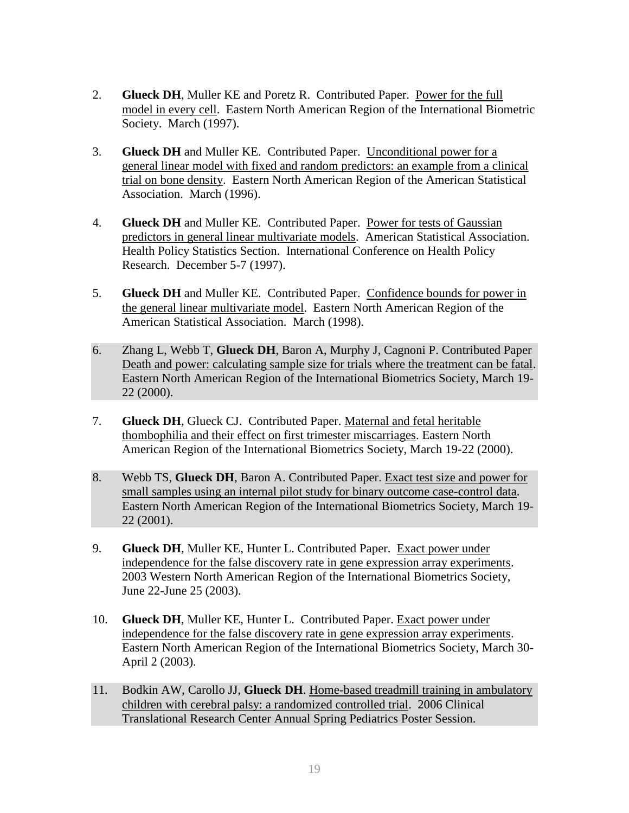- 2. **Glueck DH**, Muller KE and Poretz R. Contributed Paper. Power for the full model in every cell. Eastern North American Region of the International Biometric Society. March (1997).
- 3. **Glueck DH** and Muller KE. Contributed Paper. Unconditional power for a general linear model with fixed and random predictors: an example from a clinical trial on bone density. Eastern North American Region of the American Statistical Association. March (1996).
- 4. **Glueck DH** and Muller KE. Contributed Paper. Power for tests of Gaussian predictors in general linear multivariate models. American Statistical Association. Health Policy Statistics Section. International Conference on Health Policy Research. December 5-7 (1997).
- 5. **Glueck DH** and Muller KE. Contributed Paper. Confidence bounds for power in the general linear multivariate model. Eastern North American Region of the American Statistical Association. March (1998).
- 6. Zhang L, Webb T, **Glueck DH**, Baron A, Murphy J, Cagnoni P. Contributed Paper Death and power: calculating sample size for trials where the treatment can be fatal. Eastern North American Region of the International Biometrics Society, March 19- 22 (2000).
- 7. **Glueck DH**, Glueck CJ. Contributed Paper. Maternal and fetal heritable thombophilia and their effect on first trimester miscarriages. Eastern North American Region of the International Biometrics Society, March 19-22 (2000).
- 8. Webb TS, **Glueck DH**, Baron A. Contributed Paper. Exact test size and power for small samples using an internal pilot study for binary outcome case-control data. Eastern North American Region of the International Biometrics Society, March 19- 22 (2001).
- 9. **Glueck DH**, Muller KE, Hunter L. Contributed Paper. Exact power under independence for the false discovery rate in gene expression array experiments. 2003 Western North American Region of the International Biometrics Society, June 22-June 25 (2003).
- 10. **Glueck DH**, Muller KE, Hunter L. Contributed Paper. Exact power under independence for the false discovery rate in gene expression array experiments. Eastern North American Region of the International Biometrics Society, March 30- April 2 (2003).
- 11. Bodkin AW, Carollo JJ, **Glueck DH**. Home-based treadmill training in ambulatory children with cerebral palsy: a randomized controlled trial. 2006 Clinical Translational Research Center Annual Spring Pediatrics Poster Session.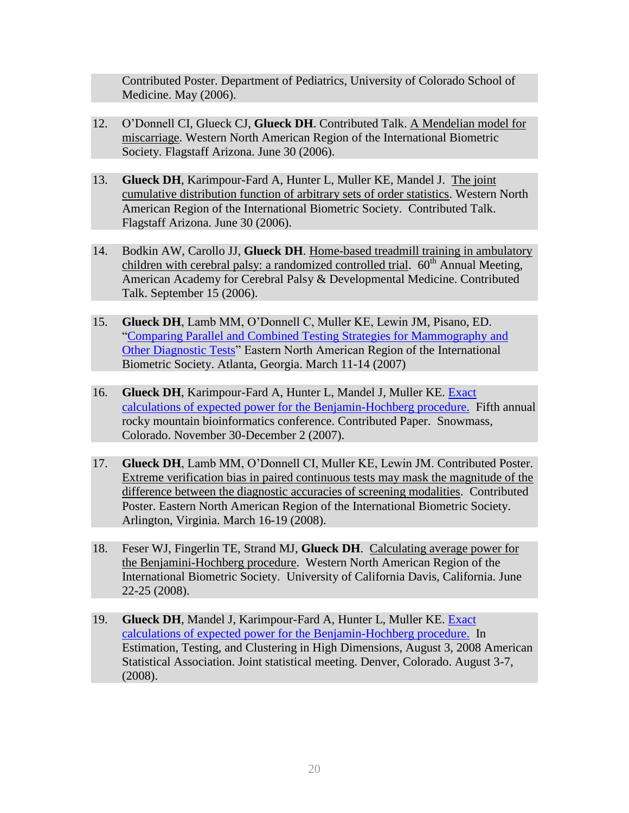Contributed Poster. Department of Pediatrics, University of Colorado School of Medicine. May (2006).

- 12. O"Donnell CI, Glueck CJ, **Glueck DH**. Contributed Talk. A Mendelian model for miscarriage. Western North American Region of the International Biometric Society. Flagstaff Arizona. June 30 (2006).
- 13. **Glueck DH**, Karimpour-Fard A, Hunter L, Muller KE, Mandel J. The joint cumulative distribution function of arbitrary sets of order statistics. Western North American Region of the International Biometric Society. Contributed Talk. Flagstaff Arizona. June 30 (2006).
- 14. Bodkin AW, Carollo JJ, **Glueck DH**. Home-based treadmill training in ambulatory children with cerebral palsy: a randomized controlled trial.  $60<sup>th</sup>$  Annual Meeting, American Academy for Cerebral Palsy & Developmental Medicine. Contributed Talk. September 15 (2006).
- 15. **Glueck DH**, Lamb MM, O"Donnell C, Muller KE, Lewin JM, Pisano, ED. ["Comparing Parallel and Combined Testing Strategies for Mammography and](file:///G:/Documents%20and%20Settings/Documents%20and%20Settings/Documents%20and%20Settings/glueckd/Application%20Data/website/papers/glueck%20first/glueck%20ENAR%2007.ppt)  [Other Diagnostic Tests"](file:///G:/Documents%20and%20Settings/Documents%20and%20Settings/Documents%20and%20Settings/glueckd/Application%20Data/website/papers/glueck%20first/glueck%20ENAR%2007.ppt) Eastern North American Region of the International Biometric Society. Atlanta, Georgia. March 11-14 (2007)
- 16. **Glueck DH**, Karimpour-Fard A, Hunter L, Mandel J, Muller KE. [Exact](http://www.iscb.org/rocky07/agenda.htm#Glueck)  [calculations of expected power for the Benjamin-Hochberg procedure.](http://www.iscb.org/rocky07/agenda.htm#Glueck) Fifth annual rocky mountain bioinformatics conference. Contributed Paper. Snowmass, Colorado. November 30-December 2 (2007).
- 17. **Glueck DH**, Lamb MM, O"Donnell CI, Muller KE, Lewin JM. Contributed Poster. Extreme verification bias in paired continuous tests may mask the magnitude of the difference between the diagnostic accuracies of screening modalities. Contributed Poster. Eastern North American Region of the International Biometric Society. Arlington, Virginia. March 16-19 (2008).
- 18. Feser WJ, Fingerlin TE, Strand MJ, **Glueck DH**. Calculating average power for the Benjamini-Hochberg procedure. Western North American Region of the International Biometric Society. University of California Davis, California. June 22-25 (2008).
- 19. **Glueck DH**, Mandel J, Karimpour-Fard A, Hunter L, Muller KE. [Exact](http://www.iscb.org/rocky07/agenda.htm#Glueck)  [calculations of expected power for the Benjamin-Hochberg procedure.](http://www.iscb.org/rocky07/agenda.htm#Glueck) In Estimation, Testing, and Clustering in High Dimensions, August 3, 2008 American Statistical Association. Joint statistical meeting. Denver, Colorado. August 3-7, (2008).